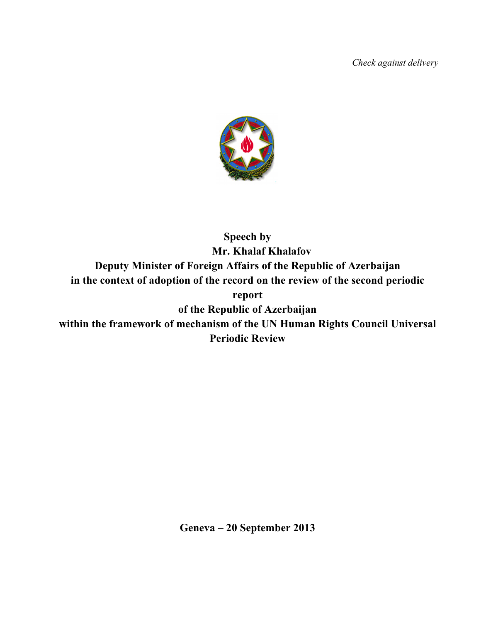*Check against delivery*



**Speech by Mr. Khalaf Khalafov Deputy Minister of Foreign Affairs of the Republic of Azerbaijan in the context of adoption of the record on the review of the second periodic report of the Republic of Azerbaijan within the framework of mechanism of the UN Human Rights Council Universal Periodic Review** 

**Geneva – 20 September 2013**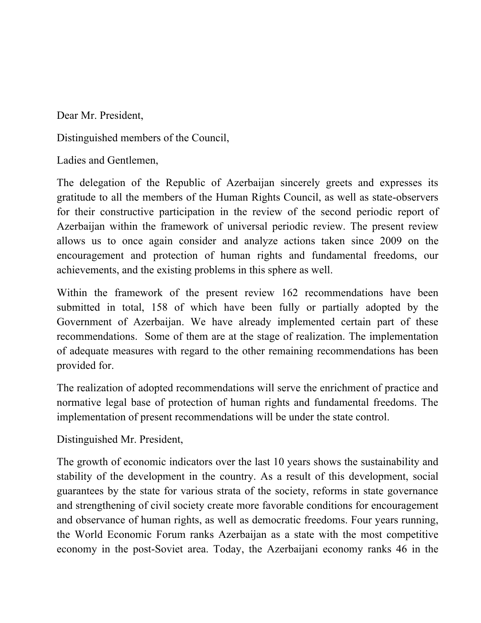Dear Mr. President,

Distinguished members of the Council,

Ladies and Gentlemen,

The delegation of the Republic of Azerbaijan sincerely greets and expresses its gratitude to all the members of the Human Rights Council, as well as state-observers for their constructive participation in the review of the second periodic report of Azerbaijan within the framework of universal periodic review. The present review allows us to once again consider and analyze actions taken since 2009 on the encouragement and protection of human rights and fundamental freedoms, our achievements, and the existing problems in this sphere as well.

Within the framework of the present review 162 recommendations have been submitted in total, 158 of which have been fully or partially adopted by the Government of Azerbaijan. We have already implemented certain part of these recommendations. Some of them are at the stage of realization. The implementation of adequate measures with regard to the other remaining recommendations has been provided for.

The realization of adopted recommendations will serve the enrichment of practice and normative legal base of protection of human rights and fundamental freedoms. The implementation of present recommendations will be under the state control.

Distinguished Mr. President,

The growth of economic indicators over the last 10 years shows the sustainability and stability of the development in the country. As a result of this development, social guarantees by the state for various strata of the society, reforms in state governance and strengthening of civil society create more favorable conditions for encouragement and observance of human rights, as well as democratic freedoms. Four years running, the World Economic Forum ranks Azerbaijan as a state with the most competitive economy in the post-Soviet area. Today, the Azerbaijani economy ranks 46 in the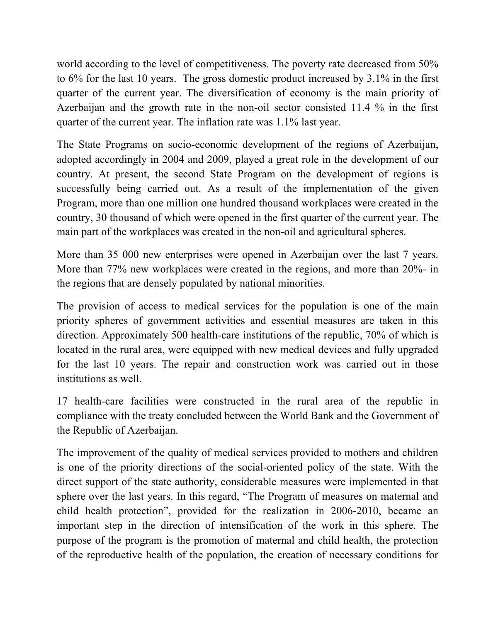world according to the level of competitiveness. The poverty rate decreased from 50% to 6% for the last 10 years. The gross domestic product increased by 3.1% in the first quarter of the current year. The diversification of economy is the main priority of Azerbaijan and the growth rate in the non-oil sector consisted 11.4 % in the first quarter of the current year. The inflation rate was 1.1% last year.

The State Programs on socio-economic development of the regions of Azerbaijan, adopted accordingly in 2004 and 2009, played a great role in the development of our country. At present, the second State Program on the development of regions is successfully being carried out. As a result of the implementation of the given Program, more than one million one hundred thousand workplaces were created in the country, 30 thousand of which were opened in the first quarter of the current year. The main part of the workplaces was created in the non-oil and agricultural spheres.

More than 35 000 new enterprises were opened in Azerbaijan over the last 7 years. More than 77% new workplaces were created in the regions, and more than 20%- in the regions that are densely populated by national minorities.

The provision of access to medical services for the population is one of the main priority spheres of government activities and essential measures are taken in this direction. Approximately 500 health-care institutions of the republic, 70% of which is located in the rural area, were equipped with new medical devices and fully upgraded for the last 10 years. The repair and construction work was carried out in those institutions as well.

17 health-care facilities were constructed in the rural area of the republic in compliance with the treaty concluded between the World Bank and the Government of the Republic of Azerbaijan.

The improvement of the quality of medical services provided to mothers and children is one of the priority directions of the social-oriented policy of the state. With the direct support of the state authority, considerable measures were implemented in that sphere over the last years. In this regard, "The Program of measures on maternal and child health protection", provided for the realization in 2006-2010, became an important step in the direction of intensification of the work in this sphere. The purpose of the program is the promotion of maternal and child health, the protection of the reproductive health of the population, the creation of necessary conditions for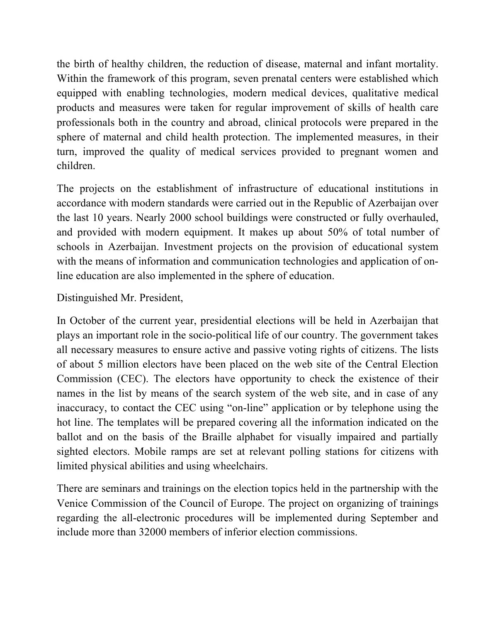the birth of healthy children, the reduction of disease, maternal and infant mortality. Within the framework of this program, seven prenatal centers were established which equipped with enabling technologies, modern medical devices, qualitative medical products and measures were taken for regular improvement of skills of health care professionals both in the country and abroad, clinical protocols were prepared in the sphere of maternal and child health protection. The implemented measures, in their turn, improved the quality of medical services provided to pregnant women and children.

The projects on the establishment of infrastructure of educational institutions in accordance with modern standards were carried out in the Republic of Azerbaijan over the last 10 years. Nearly 2000 school buildings were constructed or fully overhauled, and provided with modern equipment. It makes up about 50% of total number of schools in Azerbaijan. Investment projects on the provision of educational system with the means of information and communication technologies and application of online education are also implemented in the sphere of education.

## Distinguished Mr. President,

In October of the current year, presidential elections will be held in Azerbaijan that plays an important role in the socio-political life of our country. The government takes all necessary measures to ensure active and passive voting rights of citizens. The lists of about 5 million electors have been placed on the web site of the Central Election Commission (CEC). The electors have opportunity to check the existence of their names in the list by means of the search system of the web site, and in case of any inaccuracy, to contact the CEC using "on-line" application or by telephone using the hot line. The templates will be prepared covering all the information indicated on the ballot and on the basis of the Braille alphabet for visually impaired and partially sighted electors. Mobile ramps are set at relevant polling stations for citizens with limited physical abilities and using wheelchairs.

There are seminars and trainings on the election topics held in the partnership with the Venice Commission of the Council of Europe. The project on organizing of trainings regarding the all-electronic procedures will be implemented during September and include more than 32000 members of inferior election commissions.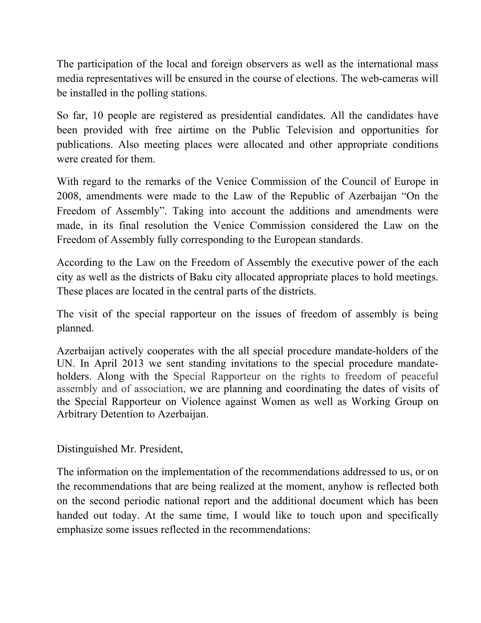The participation of the local and foreign observers as well as the international mass media representatives will be ensured in the course of elections. The web-cameras will be installed in the polling stations.

So far, 10 people are registered as presidential candidates. All the candidates have been provided with free airtime on the Public Television and opportunities for publications. Also meeting places were allocated and other appropriate conditions were created for them.

With regard to the remarks of the Venice Commission of the Council of Europe in 2008, amendments were made to the Law of the Republic of Azerbaijan "On the Freedom of Assembly". Taking into account the additions and amendments were made, in its final resolution the Venice Commission considered the Law on the Freedom of Assembly fully corresponding to the European standards.

According to the Law on the Freedom of Assembly the executive power of the each city as well as the districts of Baku city allocated appropriate places to hold meetings. These places are located in the central parts of the districts.

The visit of the special rapporteur on the issues of freedom of assembly is being planned.

Azerbaijan actively cooperates with the all special procedure mandate-holders of the UN. In April 2013 we sent standing invitations to the special procedure mandateholders. Along with the Special Rapporteur on the rights to freedom of peaceful assembly and of association, we are planning and coordinating the dates of visits of the Special Rapporteur on Violence against Women as well as Working Group on Arbitrary Detention to Azerbaijan.

Distinguished Mr. President,

The information on the implementation of the recommendations addressed to us, or on the recommendations that are being realized at the moment, anyhow is reflected both on the second periodic national report and the additional document which has been handed out today. At the same time, I would like to touch upon and specifically emphasize some issues reflected in the recommendations: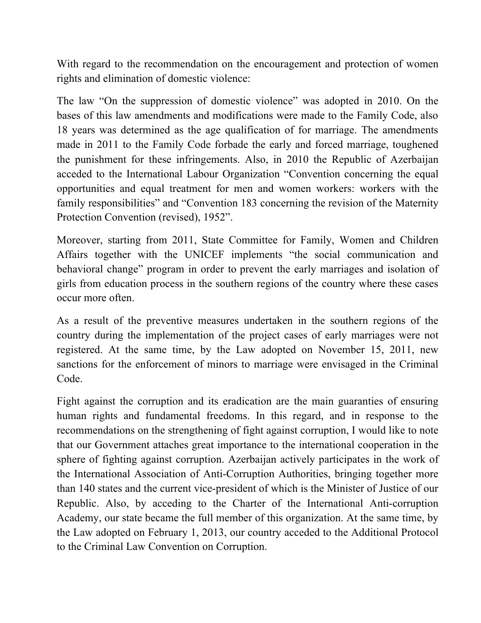With regard to the recommendation on the encouragement and protection of women rights and elimination of domestic violence:

The law "On the suppression of domestic violence" was adopted in 2010. On the bases of this law amendments and modifications were made to the Family Code, also 18 years was determined as the age qualification of for marriage. The amendments made in 2011 to the Family Code forbade the early and forced marriage, toughened the punishment for these infringements. Also, in 2010 the Republic of Azerbaijan acceded to the International Labour Organization "Convention concerning the equal opportunities and equal treatment for men and women workers: workers with the family responsibilities" and "Convention 183 concerning the revision of the Maternity Protection Convention (revised), 1952".

Moreover, starting from 2011, State Committee for Family, Women and Children Affairs together with the UNICEF implements "the social communication and behavioral change" program in order to prevent the early marriages and isolation of girls from education process in the southern regions of the country where these cases occur more often.

As a result of the preventive measures undertaken in the southern regions of the country during the implementation of the project cases of early marriages were not registered. At the same time, by the Law adopted on November 15, 2011, new sanctions for the enforcement of minors to marriage were envisaged in the Criminal Code.

Fight against the corruption and its eradication are the main guaranties of ensuring human rights and fundamental freedoms. In this regard, and in response to the recommendations on the strengthening of fight against corruption, I would like to note that our Government attaches great importance to the international cooperation in the sphere of fighting against corruption. Azerbaijan actively participates in the work of the International Association of Anti-Corruption Authorities, bringing together more than 140 states and the current vice-president of which is the Minister of Justice of our Republic. Also, by acceding to the Charter of the International Anti-corruption Academy, our state became the full member of this organization. At the same time, by the Law adopted on February 1, 2013, our country acceded to the Additional Protocol to the Criminal Law Convention on Corruption.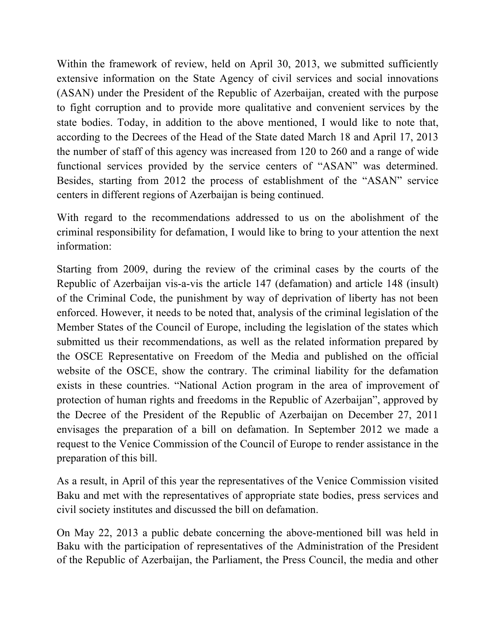Within the framework of review, held on April 30, 2013, we submitted sufficiently extensive information on the State Agency of civil services and social innovations (ASAN) under the President of the Republic of Azerbaijan, created with the purpose to fight corruption and to provide more qualitative and convenient services by the state bodies. Today, in addition to the above mentioned, I would like to note that, according to the Decrees of the Head of the State dated March 18 and April 17, 2013 the number of staff of this agency was increased from 120 to 260 and a range of wide functional services provided by the service centers of "ASAN" was determined. Besides, starting from 2012 the process of establishment of the "ASAN" service centers in different regions of Azerbaijan is being continued.

With regard to the recommendations addressed to us on the abolishment of the criminal responsibility for defamation, I would like to bring to your attention the next information:

Starting from 2009, during the review of the criminal cases by the courts of the Republic of Azerbaijan vis-a-vis the article 147 (defamation) and article 148 (insult) of the Criminal Code, the punishment by way of deprivation of liberty has not been enforced. However, it needs to be noted that, analysis of the criminal legislation of the Member States of the Council of Europe, including the legislation of the states which submitted us their recommendations, as well as the related information prepared by the OSCE Representative on Freedom of the Media and published on the official website of the OSCE, show the contrary. The criminal liability for the defamation exists in these countries. "National Action program in the area of improvement of protection of human rights and freedoms in the Republic of Azerbaijan", approved by the Decree of the President of the Republic of Azerbaijan on December 27, 2011 envisages the preparation of a bill on defamation. In September 2012 we made a request to the Venice Commission of the Council of Europe to render assistance in the preparation of this bill.

As a result, in April of this year the representatives of the Venice Commission visited Baku and met with the representatives of appropriate state bodies, press services and civil society institutes and discussed the bill on defamation.

On May 22, 2013 a public debate concerning the above-mentioned bill was held in Baku with the participation of representatives of the Administration of the President of the Republic of Azerbaijan, the Parliament, the Press Council, the media and other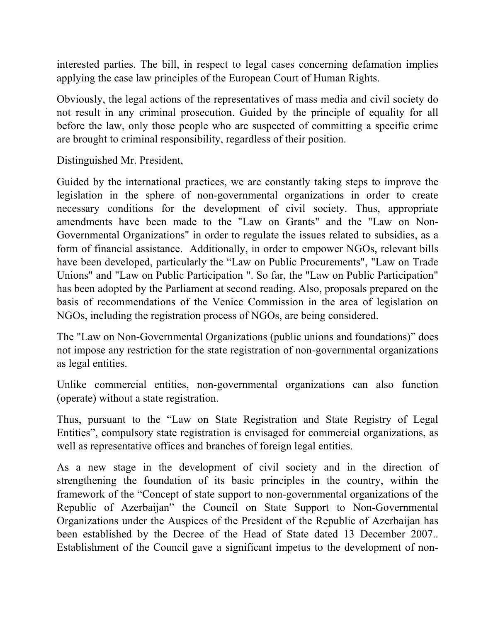interested parties. The bill, in respect to legal cases concerning defamation implies applying the case law principles of the European Court of Human Rights.

Obviously, the legal actions of the representatives of mass media and civil society do not result in any criminal prosecution. Guided by the principle of equality for all before the law, only those people who are suspected of committing a specific crime are brought to criminal responsibility, regardless of their position.

Distinguished Mr. President,

Guided by the international practices, we are constantly taking steps to improve the legislation in the sphere of non-governmental organizations in order to create necessary conditions for the development of civil society. Thus, appropriate amendments have been made to the "Law on Grants" and the "Law on Non-Governmental Organizations" in order to regulate the issues related to subsidies, as a form of financial assistance. Additionally, in order to empower NGOs, relevant bills have been developed, particularly the "Law on Public Procurements", "Law on Trade Unions" and "Law on Public Participation ". So far, the "Law on Public Participation" has been adopted by the Parliament at second reading. Also, proposals prepared on the basis of recommendations of the Venice Commission in the area of legislation on NGOs, including the registration process of NGOs, are being considered.

The "Law on Non-Governmental Organizations (public unions and foundations)" does not impose any restriction for the state registration of non-governmental organizations as legal entities.

Unlike commercial entities, non-governmental organizations can also function (operate) without a state registration.

Thus, pursuant to the "Law on State Registration and State Registry of Legal Entities", compulsory state registration is envisaged for commercial organizations, as well as representative offices and branches of foreign legal entities.

As a new stage in the development of civil society and in the direction of strengthening the foundation of its basic principles in the country, within the framework of the "Concept of state support to non-governmental organizations of the Republic of Azerbaijan" the Council on State Support to Non-Governmental Organizations under the Auspices of the President of the Republic of Azerbaijan has been established by the Decree of the Head of State dated 13 December 2007.. Establishment of the Council gave a significant impetus to the development of non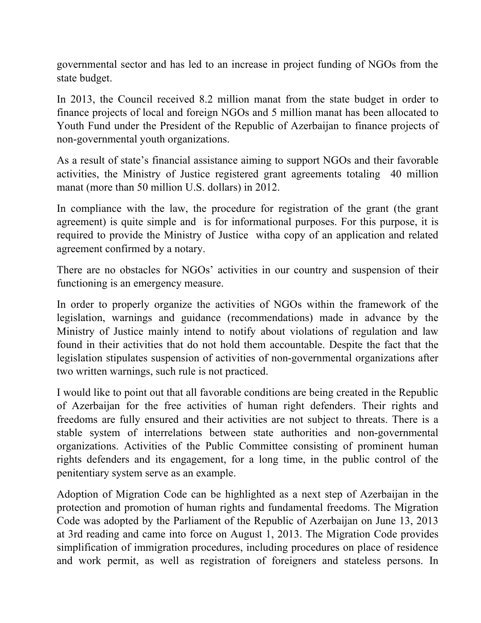governmental sector and has led to an increase in project funding of NGOs from the state budget.

In 2013, the Council received 8.2 million manat from the state budget in order to finance projects of local and foreign NGOs and 5 million manat has been allocated to Youth Fund under the President of the Republic of Azerbaijan to finance projects of non-governmental youth organizations.

As a result of state's financial assistance aiming to support NGOs and their favorable activities, the Ministry of Justice registered grant agreements totaling 40 million manat (more than 50 million U.S. dollars) in 2012.

In compliance with the law, the procedure for registration of the grant (the grant agreement) is quite simple and is for informational purposes. For this purpose, it is required to provide the Ministry of Justice witha copy of an application and related agreement confirmed by a notary.

There are no obstacles for NGOs' activities in our country and suspension of their functioning is an emergency measure.

In order to properly organize the activities of NGOs within the framework of the legislation, warnings and guidance (recommendations) made in advance by the Ministry of Justice mainly intend to notify about violations of regulation and law found in their activities that do not hold them accountable. Despite the fact that the legislation stipulates suspension of activities of non-governmental organizations after two written warnings, such rule is not practiced.

I would like to point out that all favorable conditions are being created in the Republic of Azerbaijan for the free activities of human right defenders. Their rights and freedoms are fully ensured and their activities are not subject to threats. There is a stable system of interrelations between state authorities and non-governmental organizations. Activities of the Public Committee consisting of prominent human rights defenders and its engagement, for a long time, in the public control of the penitentiary system serve as an example.

Adoption of Migration Code can be highlighted as a next step of Azerbaijan in the protection and promotion of human rights and fundamental freedoms. The Migration Code was adopted by the Parliament of the Republic of Azerbaijan on June 13, 2013 at 3rd reading and came into force on August 1, 2013. The Migration Code provides simplification of immigration procedures, including procedures on place of residence and work permit, as well as registration of foreigners and stateless persons. In